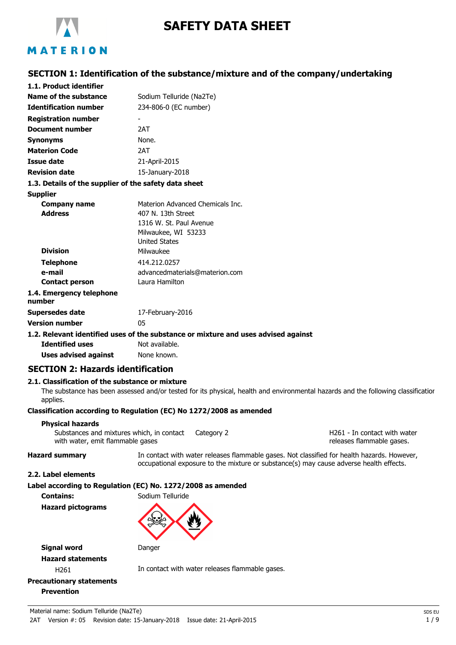

# **SAFETY DATA SHEET**

## **SECTION 1: Identification of the substance/mixture and of the company/undertaking**

| 1.1. Product identifier                               |                                                                                                      |
|-------------------------------------------------------|------------------------------------------------------------------------------------------------------|
| Name of the substance                                 | Sodium Telluride (Na2Te)                                                                             |
| <b>Identification number</b>                          | 234-806-0 (EC number)                                                                                |
| <b>Registration number</b>                            |                                                                                                      |
| <b>Document number</b>                                | 2AT                                                                                                  |
| Synonyms                                              | None.                                                                                                |
| <b>Materion Code</b>                                  | 2AT                                                                                                  |
| <b>Issue date</b>                                     | 21-April-2015                                                                                        |
| <b>Revision date</b>                                  | 15-January-2018                                                                                      |
| 1.3. Details of the supplier of the safety data sheet |                                                                                                      |
| <b>Supplier</b>                                       |                                                                                                      |
| Company name                                          | Materion Advanced Chemicals Inc.                                                                     |
| <b>Address</b>                                        | 407 N. 13th Street                                                                                   |
|                                                       | 1316 W. St. Paul Avenue                                                                              |
|                                                       | Milwaukee, WI 53233                                                                                  |
|                                                       | <b>United States</b>                                                                                 |
| <b>Division</b>                                       | Milwaukee                                                                                            |
| <b>Telephone</b>                                      | 414.212.0257                                                                                         |
| e-mail                                                | advancedmaterials@materion.com                                                                       |
| <b>Contact person</b>                                 | Laura Hamilton                                                                                       |
| 1.4. Emergency telephone<br>number                    |                                                                                                      |
| Supersedes date                                       | 17-February-2016                                                                                     |
| <b>Version number</b>                                 | 05                                                                                                   |
| <b>Identified uses</b>                                | 1.2. Relevant identified uses of the substance or mixture and uses advised against<br>Not available. |
|                                                       |                                                                                                      |

**Uses advised against** None known.

### **SECTION 2: Hazards identification**

#### **2.1. Classification of the substance or mixture**

The substance has been assessed and/or tested for its physical, health and environmental hazards and the following classification applies.

#### **Classification according to Regulation (EC) No 1272/2008 as amended**

#### **Physical hazards**

Substances and mixtures which, in contact Category 2 with water, emit flammable gases

H261 - In contact with water releases flammable gases.

**Hazard summary** In contact with water releases flammable gases. Not classified for health hazards. However, occupational exposure to the mixture or substance(s) may cause adverse health effects.

#### **2.2. Label elements**

#### **Label according to Regulation (EC) No. 1272/2008 as amended**

**Contains:** Sodium Telluride **Hazard pictograms**





**Signal word** Danger **Hazard statements**

H261 **In contact with water releases flammable gases.** 

## **Precautionary statements Prevention**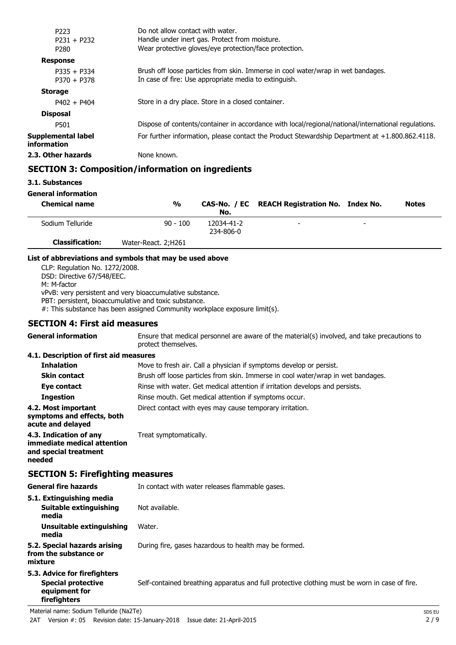| P <sub>223</sub>                  | Do not allow contact with water.                                                                    |
|-----------------------------------|-----------------------------------------------------------------------------------------------------|
| $P231 + P232$                     | Handle under inert gas. Protect from moisture.                                                      |
| P <sub>280</sub>                  | Wear protective gloves/eye protection/face protection.                                              |
| <b>Response</b>                   |                                                                                                     |
| $P335 + P334$                     | Brush off loose particles from skin. Immerse in cool water/wrap in wet bandages.                    |
| $P370 + P378$                     | In case of fire: Use appropriate media to extinguish.                                               |
| <b>Storage</b>                    |                                                                                                     |
| $P402 + P404$                     | Store in a dry place. Store in a closed container.                                                  |
| <b>Disposal</b>                   |                                                                                                     |
| P501                              | Dispose of contents/container in accordance with local/regional/national/international regulations. |
| Supplemental label<br>information | For further information, please contact the Product Stewardship Department at $+1.800.862.4118$ .   |
| 2.3. Other hazards                | None known.                                                                                         |
|                                   |                                                                                                     |

## **SECTION 3: Composition/information on ingredients**

#### **General information**

| <b>Chemical name</b>   | $\frac{0}{0}$       | No.                     | CAS-No. / EC REACH Registration No. Index No. |                          | <b>Notes</b> |
|------------------------|---------------------|-------------------------|-----------------------------------------------|--------------------------|--------------|
| Sodium Telluride       | $90 - 100$          | 12034-41-2<br>234-806-0 | $\overline{\phantom{0}}$                      | $\overline{\phantom{0}}$ |              |
| <b>Classification:</b> | Water-React, 2:H261 |                         |                                               |                          |              |

#### **List of abbreviations and symbols that may be used above**

CLP: Regulation No. 1272/2008. DSD: Directive 67/548/EEC. M: M-factor vPvB: very persistent and very bioaccumulative substance. PBT: persistent, bioaccumulative and toxic substance. #: This substance has been assigned Community workplace exposure limit(s).

## **SECTION 4: First aid measures**

| <b>General information</b>                                                               | Ensure that medical personnel are aware of the material(s) involved, and take precautions to<br>protect themselves. |        |  |
|------------------------------------------------------------------------------------------|---------------------------------------------------------------------------------------------------------------------|--------|--|
| 4.1. Description of first aid measures                                                   |                                                                                                                     |        |  |
| <b>Inhalation</b>                                                                        | Move to fresh air. Call a physician if symptoms develop or persist.                                                 |        |  |
| <b>Skin contact</b>                                                                      | Brush off loose particles from skin. Immerse in cool water/wrap in wet bandages.                                    |        |  |
| Eye contact                                                                              | Rinse with water. Get medical attention if irritation develops and persists.                                        |        |  |
| <b>Ingestion</b>                                                                         | Rinse mouth. Get medical attention if symptoms occur.                                                               |        |  |
| 4.2. Most important<br>symptoms and effects, both<br>acute and delayed                   | Direct contact with eyes may cause temporary irritation.                                                            |        |  |
| 4.3. Indication of any<br>immediate medical attention<br>and special treatment<br>needed | Treat symptomatically.                                                                                              |        |  |
| <b>SECTION 5: Firefighting measures</b>                                                  |                                                                                                                     |        |  |
| <b>General fire hazards</b>                                                              | In contact with water releases flammable gases.                                                                     |        |  |
| 5.1. Extinguishing media<br>Suitable extinguishing<br>media                              | Not available.                                                                                                      |        |  |
| Unsuitable extinguishing<br>media                                                        | Water.                                                                                                              |        |  |
| 5.2. Special hazards arising<br>from the substance or<br>mixture                         | During fire, gases hazardous to health may be formed.                                                               |        |  |
| 5.3. Advice for firefighters                                                             |                                                                                                                     |        |  |
| <b>Special protective</b><br>equipment for<br>firefighters                               | Self-contained breathing apparatus and full protective clothing must be worn in case of fire.                       |        |  |
| Material name: Sodium Telluride (Na2Te)                                                  |                                                                                                                     | SDS EU |  |

**<sup>3.1.</sup> Substances**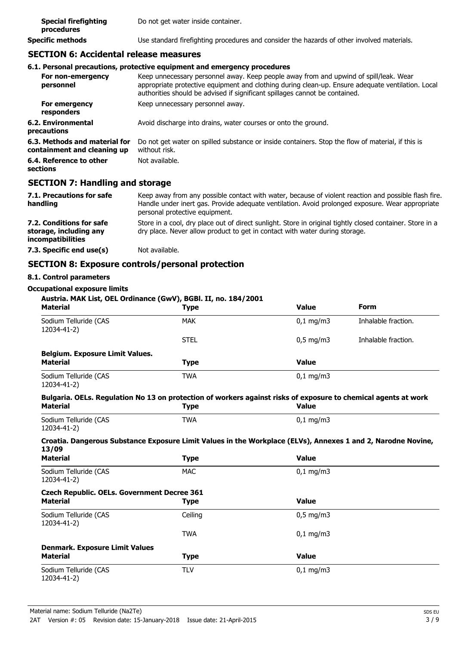| <b>Special firefighting</b><br>procedures | Do not get water inside container.                                                         |
|-------------------------------------------|--------------------------------------------------------------------------------------------|
| Specific methods                          | Use standard firefighting procedures and consider the hazards of other involved materials. |

## **SECTION 6: Accidental release measures**

#### **6.1. Personal precautions, protective equipment and emergency procedures**

| For non-emergency<br>personnel                               | Keep unnecessary personnel away. Keep people away from and upwind of spill/leak. Wear<br>appropriate protective equipment and clothing during clean-up. Ensure adequate ventilation. Local<br>authorities should be advised if significant spillages cannot be contained. |
|--------------------------------------------------------------|---------------------------------------------------------------------------------------------------------------------------------------------------------------------------------------------------------------------------------------------------------------------------|
| For emergency<br>responders                                  | Keep unnecessary personnel away.                                                                                                                                                                                                                                          |
| 6.2. Environmental<br>precautions                            | Avoid discharge into drains, water courses or onto the ground.                                                                                                                                                                                                            |
| 6.3. Methods and material for<br>containment and cleaning up | Do not get water on spilled substance or inside containers. Stop the flow of material, if this is<br>without risk.                                                                                                                                                        |
| 6.4. Reference to other<br>sections                          | Not available.                                                                                                                                                                                                                                                            |

## **SECTION 7: Handling and storage**

| 7.1. Precautions for safe<br>handling                                   | Keep away from any possible contact with water, because of violent reaction and possible flash fire.<br>Handle under inert gas. Provide adequate ventilation. Avoid prolonged exposure. Wear appropriate<br>personal protective equipment. |
|-------------------------------------------------------------------------|--------------------------------------------------------------------------------------------------------------------------------------------------------------------------------------------------------------------------------------------|
| 7.2. Conditions for safe<br>storage, including any<br>incompatibilities | Store in a cool, dry place out of direct sunlight. Store in original tightly closed container. Store in a<br>dry place. Never allow product to get in contact with water during storage.                                                   |
| 7.3. Specific end use(s)                                                | Not available.                                                                                                                                                                                                                             |

## **SECTION 8: Exposure controls/personal protection**

## **8.1. Control parameters**

#### **Occupational exposure limits**

| <b>Material</b>                                    | Austria. MAK List, OEL Ordinance (GwV), BGBI. II, no. 184/2001<br><b>Type</b>                                                 | <b>Value</b>       | <b>Form</b>         |
|----------------------------------------------------|-------------------------------------------------------------------------------------------------------------------------------|--------------------|---------------------|
| Sodium Telluride (CAS<br>12034-41-2)               | <b>MAK</b>                                                                                                                    | $0,1$ mg/m $3$     | Inhalable fraction. |
|                                                    | <b>STEL</b>                                                                                                                   | $0.5 \text{ mg/m}$ | Inhalable fraction. |
| <b>Belgium. Exposure Limit Values.</b>             |                                                                                                                               |                    |                     |
| <b>Material</b>                                    | <b>Type</b>                                                                                                                   | <b>Value</b>       |                     |
| Sodium Telluride (CAS<br>12034-41-2)               | <b>TWA</b>                                                                                                                    | $0,1$ mg/m3        |                     |
| <b>Material</b>                                    | Bulgaria. OELs. Regulation No 13 on protection of workers against risks of exposure to chemical agents at work<br><b>Type</b> | <b>Value</b>       |                     |
| Sodium Telluride (CAS<br>12034-41-2)               | <b>TWA</b>                                                                                                                    | $0,1$ mg/m3        |                     |
| 13/09                                              | Croatia. Dangerous Substance Exposure Limit Values in the Workplace (ELVs), Annexes 1 and 2, Narodne Novine,                  |                    |                     |
| <b>Material</b>                                    | <b>Type</b>                                                                                                                   | <b>Value</b>       |                     |
| Sodium Telluride (CAS<br>12034-41-2)               | <b>MAC</b>                                                                                                                    | $0,1$ mg/m $3$     |                     |
| <b>Czech Republic. OELs. Government Decree 361</b> |                                                                                                                               |                    |                     |
| <b>Material</b>                                    | <b>Type</b>                                                                                                                   | <b>Value</b>       |                     |
| Sodium Telluride (CAS<br>12034-41-2)               | Ceiling                                                                                                                       | $0.5$ mg/m $3$     |                     |
|                                                    | <b>TWA</b>                                                                                                                    | $0,1$ mg/m3        |                     |
| <b>Denmark. Exposure Limit Values</b>              |                                                                                                                               |                    |                     |
| <b>Material</b>                                    | <b>Type</b>                                                                                                                   | <b>Value</b>       |                     |
| Sodium Telluride (CAS<br>12034-41-2)               | <b>TLV</b>                                                                                                                    | $0,1$ mg/m3        |                     |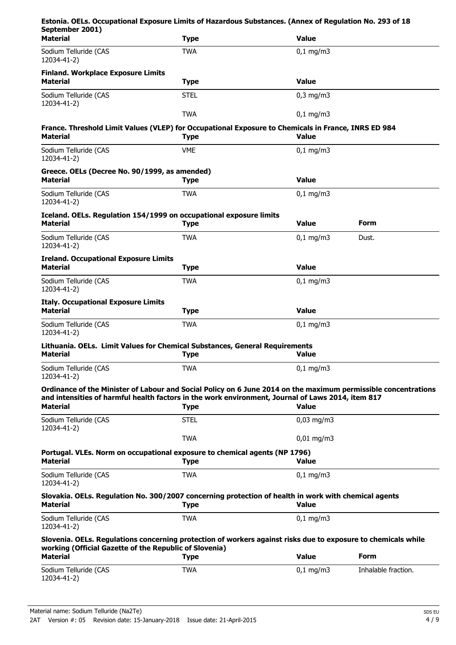| Estonia. OELs. Occupational Exposure Limits of Hazardous Substances. (Annex of Regulation No. 293 of 18<br>September 2001)                                                                                          |             |                        |                     |
|---------------------------------------------------------------------------------------------------------------------------------------------------------------------------------------------------------------------|-------------|------------------------|---------------------|
| <b>Material</b>                                                                                                                                                                                                     | <b>Type</b> | <b>Value</b>           |                     |
| Sodium Telluride (CAS<br>12034-41-2)                                                                                                                                                                                | <b>TWA</b>  | $0,1$ mg/m3            |                     |
| <b>Finland. Workplace Exposure Limits</b><br><b>Material</b>                                                                                                                                                        | <b>Type</b> | <b>Value</b>           |                     |
| Sodium Telluride (CAS<br>12034-41-2)                                                                                                                                                                                | <b>STEL</b> | $0,3$ mg/m $3$         |                     |
|                                                                                                                                                                                                                     | <b>TWA</b>  | $0,1 \, \text{mg/m}$   |                     |
| France. Threshold Limit Values (VLEP) for Occupational Exposure to Chemicals in France, INRS ED 984<br><b>Material</b>                                                                                              | <b>Type</b> | Value                  |                     |
| Sodium Telluride (CAS<br>12034-41-2)                                                                                                                                                                                | <b>VME</b>  | $0,1$ mg/m3            |                     |
| Greece. OELs (Decree No. 90/1999, as amended)<br><b>Material</b>                                                                                                                                                    | <b>Type</b> | <b>Value</b>           |                     |
| Sodium Telluride (CAS<br>12034-41-2)                                                                                                                                                                                | <b>TWA</b>  | $0,1$ mg/m3            |                     |
| Iceland. OELs. Regulation 154/1999 on occupational exposure limits<br><b>Material</b>                                                                                                                               | <b>Type</b> | <b>Value</b>           | Form                |
| Sodium Telluride (CAS<br>12034-41-2)                                                                                                                                                                                | <b>TWA</b>  | $0,1 \, \text{mg/m}$   | Dust.               |
| <b>Ireland. Occupational Exposure Limits</b><br><b>Material</b>                                                                                                                                                     | <b>Type</b> | <b>Value</b>           |                     |
| Sodium Telluride (CAS<br>12034-41-2)                                                                                                                                                                                | <b>TWA</b>  | $0,1 \, \text{mg/m}$   |                     |
| <b>Italy. Occupational Exposure Limits</b><br><b>Material</b>                                                                                                                                                       | <b>Type</b> | <b>Value</b>           |                     |
| Sodium Telluride (CAS<br>12034-41-2)                                                                                                                                                                                | <b>TWA</b>  | $0,1 \, \text{mg/m}$   |                     |
| Lithuania. OELs. Limit Values for Chemical Substances, General Requirements<br>Material                                                                                                                             | <b>Type</b> | Value                  |                     |
| Sodium Telluride (CAS<br>12034-41-2)                                                                                                                                                                                | <b>TWA</b>  | $0,1$ mg/m3            |                     |
| Ordinance of the Minister of Labour and Social Policy on 6 June 2014 on the maximum permissible concentrations<br>and intensities of harmful health factors in the work environment, Journal of Laws 2014, item 817 |             |                        |                     |
| <b>Material</b>                                                                                                                                                                                                     | <b>Type</b> | <b>Value</b>           |                     |
| Sodium Telluride (CAS<br>12034-41-2)                                                                                                                                                                                | <b>STEL</b> | $0,03$ mg/m3           |                     |
|                                                                                                                                                                                                                     | <b>TWA</b>  | $0,01 \,\mathrm{mg/m}$ |                     |
| Portugal. VLEs. Norm on occupational exposure to chemical agents (NP 1796)<br><b>Material</b>                                                                                                                       | <b>Type</b> | <b>Value</b>           |                     |
| Sodium Telluride (CAS<br>12034-41-2)                                                                                                                                                                                | <b>TWA</b>  | $0,1$ mg/m3            |                     |
| Slovakia. OELs. Regulation No. 300/2007 concerning protection of health in work with chemical agents<br><b>Material</b>                                                                                             | <b>Type</b> | <b>Value</b>           |                     |
| Sodium Telluride (CAS<br>12034-41-2)                                                                                                                                                                                | <b>TWA</b>  | $0,1 \, \text{mg/m}$   |                     |
| Slovenia. OELs. Regulations concerning protection of workers against risks due to exposure to chemicals while                                                                                                       |             |                        |                     |
| working (Official Gazette of the Republic of Slovenia)<br><b>Material</b>                                                                                                                                           | <b>Type</b> | <b>Value</b>           | Form                |
| Sodium Telluride (CAS<br>12034-41-2)                                                                                                                                                                                | <b>TWA</b>  | $0,1$ mg/m3            | Inhalable fraction. |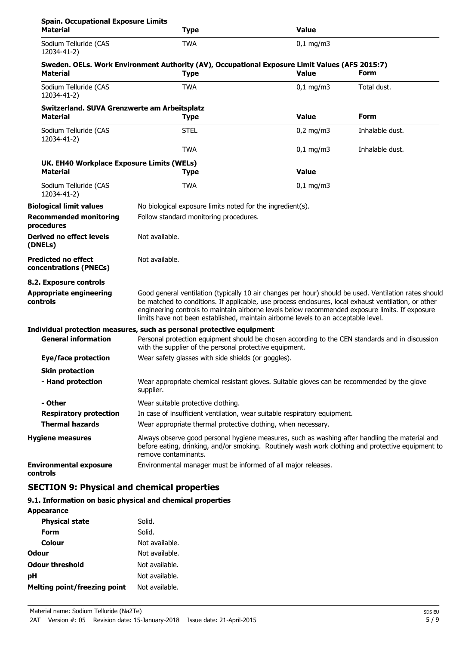| <b>Spain. Occupational Exposure Limits</b><br><b>Material</b>   | <b>Type</b>                                                                                                                                                                                                                                                                                                                                                                                            | <b>Value</b>         |                 |
|-----------------------------------------------------------------|--------------------------------------------------------------------------------------------------------------------------------------------------------------------------------------------------------------------------------------------------------------------------------------------------------------------------------------------------------------------------------------------------------|----------------------|-----------------|
| Sodium Telluride (CAS<br>12034-41-2)                            | <b>TWA</b>                                                                                                                                                                                                                                                                                                                                                                                             | $0,1$ mg/m3          |                 |
| <b>Material</b>                                                 | Sweden. OELs. Work Environment Authority (AV), Occupational Exposure Limit Values (AFS 2015:7)<br><b>Type</b>                                                                                                                                                                                                                                                                                          | <b>Value</b>         | Form            |
| Sodium Telluride (CAS<br>12034-41-2)                            | <b>TWA</b>                                                                                                                                                                                                                                                                                                                                                                                             | $0,1$ mg/m3          | Total dust.     |
| Switzerland. SUVA Grenzwerte am Arbeitsplatz<br><b>Material</b> | <b>Type</b>                                                                                                                                                                                                                                                                                                                                                                                            | Value                | Form            |
| Sodium Telluride (CAS<br>12034-41-2)                            | <b>STEL</b>                                                                                                                                                                                                                                                                                                                                                                                            | $0,2$ mg/m3          | Inhalable dust. |
|                                                                 | <b>TWA</b>                                                                                                                                                                                                                                                                                                                                                                                             | $0,1 \, \text{mg/m}$ | Inhalable dust. |
| UK. EH40 Workplace Exposure Limits (WELs)<br><b>Material</b>    | <b>Type</b>                                                                                                                                                                                                                                                                                                                                                                                            | <b>Value</b>         |                 |
| Sodium Telluride (CAS<br>12034-41-2)                            | <b>TWA</b>                                                                                                                                                                                                                                                                                                                                                                                             | $0,1$ mg/m3          |                 |
| <b>Biological limit values</b>                                  | No biological exposure limits noted for the ingredient(s).                                                                                                                                                                                                                                                                                                                                             |                      |                 |
| <b>Recommended monitoring</b><br>procedures                     | Follow standard monitoring procedures.                                                                                                                                                                                                                                                                                                                                                                 |                      |                 |
| Derived no effect levels<br>(DNELs)                             | Not available.                                                                                                                                                                                                                                                                                                                                                                                         |                      |                 |
| <b>Predicted no effect</b><br>concentrations (PNECs)            | Not available.                                                                                                                                                                                                                                                                                                                                                                                         |                      |                 |
| 8.2. Exposure controls                                          |                                                                                                                                                                                                                                                                                                                                                                                                        |                      |                 |
| <b>Appropriate engineering</b><br>controls                      | Good general ventilation (typically 10 air changes per hour) should be used. Ventilation rates should<br>be matched to conditions. If applicable, use process enclosures, local exhaust ventilation, or other<br>engineering controls to maintain airborne levels below recommended exposure limits. If exposure<br>limits have not been established, maintain airborne levels to an acceptable level. |                      |                 |
|                                                                 | Individual protection measures, such as personal protective equipment                                                                                                                                                                                                                                                                                                                                  |                      |                 |
| <b>General information</b>                                      | Personal protection equipment should be chosen according to the CEN standards and in discussion<br>with the supplier of the personal protective equipment.                                                                                                                                                                                                                                             |                      |                 |
| <b>Eye/face protection</b>                                      | Wear safety glasses with side shields (or goggles).                                                                                                                                                                                                                                                                                                                                                    |                      |                 |
| <b>Skin protection</b>                                          |                                                                                                                                                                                                                                                                                                                                                                                                        |                      |                 |
| - Hand protection                                               | Wear appropriate chemical resistant gloves. Suitable gloves can be recommended by the glove<br>supplier.                                                                                                                                                                                                                                                                                               |                      |                 |
| - Other                                                         | Wear suitable protective clothing.                                                                                                                                                                                                                                                                                                                                                                     |                      |                 |
| <b>Respiratory protection</b>                                   | In case of insufficient ventilation, wear suitable respiratory equipment.                                                                                                                                                                                                                                                                                                                              |                      |                 |
| <b>Thermal hazards</b>                                          | Wear appropriate thermal protective clothing, when necessary.                                                                                                                                                                                                                                                                                                                                          |                      |                 |
| <b>Hygiene measures</b>                                         | Always observe good personal hygiene measures, such as washing after handling the material and<br>before eating, drinking, and/or smoking. Routinely wash work clothing and protective equipment to<br>remove contaminants.                                                                                                                                                                            |                      |                 |
| <b>Environmental exposure</b><br>controls                       | Environmental manager must be informed of all major releases.                                                                                                                                                                                                                                                                                                                                          |                      |                 |

## **SECTION 9: Physical and chemical properties**

## **9.1. Information on basic physical and chemical properties**

| <b>Appearance</b>                   |                |
|-------------------------------------|----------------|
| <b>Physical state</b>               | Solid.         |
| Form                                | Solid.         |
| Colour                              | Not available. |
| Odour                               | Not available. |
| <b>Odour threshold</b>              | Not available. |
| рH                                  | Not available. |
| <b>Melting point/freezing point</b> | Not available. |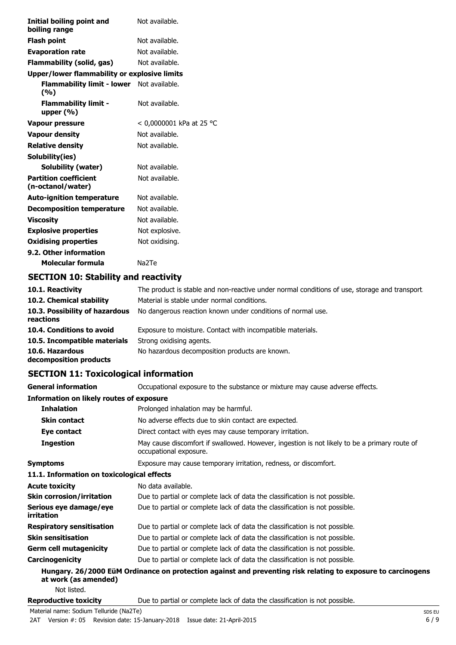| Initial boiling point and<br>boiling range        | Not available.           |
|---------------------------------------------------|--------------------------|
| <b>Flash point</b>                                | Not available.           |
| <b>Evaporation rate</b>                           | Not available.           |
| Flammability (solid, gas)                         | Not available.           |
| Upper/lower flammability or explosive limits      |                          |
| Flammability limit - lower<br>(%)                 | Not available.           |
| <b>Flammability limit -</b><br>upper $(% )$       | Not available.           |
| Vapour pressure                                   | < 0,0000001 kPa at 25 °C |
| <b>Vapour density</b>                             | Not available.           |
| <b>Relative density</b>                           | Not available.           |
| Solubility(ies)                                   |                          |
| Solubility (water)                                | Not available.           |
| <b>Partition coefficient</b><br>(n-octanol/water) | Not available.           |
| <b>Auto-ignition temperature</b>                  | Not available.           |
| <b>Decomposition temperature</b>                  | Not available.           |
| Viscosity                                         | Not available.           |
| <b>Explosive properties</b>                       | Not explosive.           |
| <b>Oxidising properties</b>                       | Not oxidising.           |
| 9.2. Other information                            |                          |
| Molecular formula                                 | Na <sub>2</sub> Te       |

## **SECTION 10: Stability and reactivity**

| 10.1. Reactivity                            | The product is stable and non-reactive under normal conditions of use, storage and transport. |
|---------------------------------------------|-----------------------------------------------------------------------------------------------|
| 10.2. Chemical stability                    | Material is stable under normal conditions.                                                   |
| 10.3. Possibility of hazardous<br>reactions | No dangerous reaction known under conditions of normal use.                                   |
| 10.4. Conditions to avoid                   | Exposure to moisture. Contact with incompatible materials.                                    |
| 10.5. Incompatible materials                | Strong oxidising agents.                                                                      |
| 10.6. Hazardous<br>decomposition products   | No hazardous decomposition products are known.                                                |

## **SECTION 11: Toxicological information**

**General information CCCUPATION** Occupational exposure to the substance or mixture may cause adverse effects.

| Information on likely routes of exposure    |                                                                                                                        |
|---------------------------------------------|------------------------------------------------------------------------------------------------------------------------|
| <b>Inhalation</b>                           | Prolonged inhalation may be harmful.                                                                                   |
| <b>Skin contact</b>                         | No adverse effects due to skin contact are expected.                                                                   |
| Eye contact                                 | Direct contact with eyes may cause temporary irritation.                                                               |
| <b>Ingestion</b>                            | May cause discomfort if swallowed. However, ingestion is not likely to be a primary route of<br>occupational exposure. |
| <b>Symptoms</b>                             | Exposure may cause temporary irritation, redness, or discomfort.                                                       |
| 11.1. Information on toxicological effects  |                                                                                                                        |
| <b>Acute toxicity</b>                       | No data available.                                                                                                     |
| <b>Skin corrosion/irritation</b>            | Due to partial or complete lack of data the classification is not possible.                                            |
| Serious eye damage/eye<br><i>irritation</i> | Due to partial or complete lack of data the classification is not possible.                                            |
| <b>Respiratory sensitisation</b>            | Due to partial or complete lack of data the classification is not possible.                                            |
| <b>Skin sensitisation</b>                   | Due to partial or complete lack of data the classification is not possible.                                            |
| <b>Germ cell mutagenicity</b>               | Due to partial or complete lack of data the classification is not possible.                                            |
| Carcinogenicity                             | Due to partial or complete lack of data the classification is not possible.                                            |
| at work (as amended)<br>Not listed.         | Hungary. 26/2000 EüM Ordinance on protection against and preventing risk relating to exposure to carcinogens           |
|                                             |                                                                                                                        |

**Reproductive toxicity** Due to partial or complete lack of data the classification is not possible.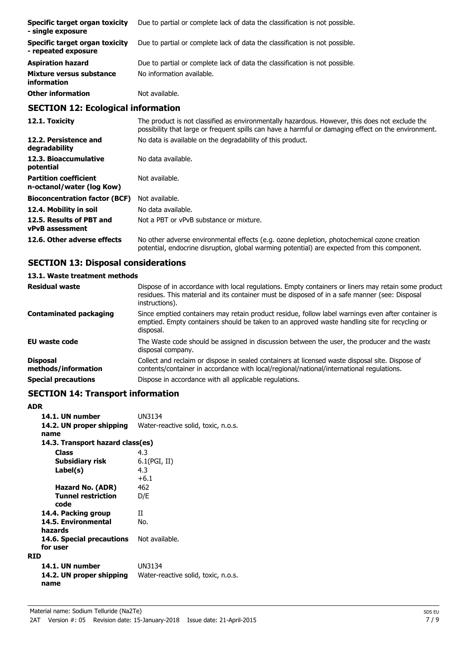| Specific target organ toxicity<br>- single exposure   | Due to partial or complete lack of data the classification is not possible. |
|-------------------------------------------------------|-----------------------------------------------------------------------------|
| Specific target organ toxicity<br>- repeated exposure | Due to partial or complete lack of data the classification is not possible. |
| <b>Aspiration hazard</b>                              | Due to partial or complete lack of data the classification is not possible. |
| Mixture versus substance<br>information               | No information available.                                                   |
| <b>Other information</b>                              | Not available.                                                              |
| <b>SECTION 12: Ecological information</b>             |                                                                             |

## **SECTION 12: Ecological information**

| 12.1. Toxicity                                            | The product is not classified as environmentally hazardous. However, this does not exclude the<br>possibility that large or frequent spills can have a harmful or damaging effect on the environment. |
|-----------------------------------------------------------|-------------------------------------------------------------------------------------------------------------------------------------------------------------------------------------------------------|
| 12.2. Persistence and<br>degradability                    | No data is available on the degradability of this product.                                                                                                                                            |
| 12.3. Bioaccumulative<br>potential                        | No data available.                                                                                                                                                                                    |
| <b>Partition coefficient</b><br>n-octanol/water (log Kow) | Not available.                                                                                                                                                                                        |
| <b>Bioconcentration factor (BCF)</b>                      | Not available.                                                                                                                                                                                        |
| 12.4. Mobility in soil                                    | No data available.                                                                                                                                                                                    |
| 12.5. Results of PBT and<br><b>vPvB</b> assessment        | Not a PBT or vPvB substance or mixture.                                                                                                                                                               |
| 12.6. Other adverse effects                               | No other adverse environmental effects (e.g. ozone depletion, photochemical ozone creation<br>potential, endocrine disruption, global warming potential) are expected from this component.            |

## **SECTION 13: Disposal considerations**

## **13.1. Waste treatment methods**

| <b>Residual waste</b>                  | Dispose of in accordance with local regulations. Empty containers or liners may retain some product<br>residues. This material and its container must be disposed of in a safe manner (see: Disposal<br>instructions). |
|----------------------------------------|------------------------------------------------------------------------------------------------------------------------------------------------------------------------------------------------------------------------|
| <b>Contaminated packaging</b>          | Since emptied containers may retain product residue, follow label warnings even after container is<br>emptied. Empty containers should be taken to an approved waste handling site for recycling or<br>disposal.       |
| EU waste code                          | The Waste code should be assigned in discussion between the user, the producer and the waste<br>disposal company.                                                                                                      |
| <b>Disposal</b><br>methods/information | Collect and reclaim or dispose in sealed containers at licensed waste disposal site. Dispose of<br>contents/container in accordance with local/regional/national/international regulations.                            |
| <b>Special precautions</b>             | Dispose in accordance with all applicable regulations.                                                                                                                                                                 |

## **SECTION 14: Transport information**

| ADR                              |                                     |  |
|----------------------------------|-------------------------------------|--|
| 14.1. UN number                  | UN3134                              |  |
| 14.2. UN proper shipping         | Water-reactive solid, toxic, n.o.s. |  |
| name                             |                                     |  |
| 14.3. Transport hazard class(es) |                                     |  |
| <b>Class</b>                     | 4.3                                 |  |
| Subsidiary risk                  | $6.1$ (PGI, II)                     |  |
| Label(s)                         | 4.3                                 |  |
|                                  | $+6.1$                              |  |
| Hazard No. (ADR)                 | 462                                 |  |
| <b>Tunnel restriction</b>        | D/E                                 |  |
| code                             |                                     |  |
| 14.4. Packing group              | Π                                   |  |
| 14.5. Environmental              | No.                                 |  |
| hazards                          |                                     |  |
| 14.6. Special precautions        | Not available.                      |  |
| for user                         |                                     |  |
| RTD                              |                                     |  |
| 14.1. UN number                  | UN3134                              |  |
| 14.2. UN proper shipping<br>name | Water-reactive solid, toxic, n.o.s. |  |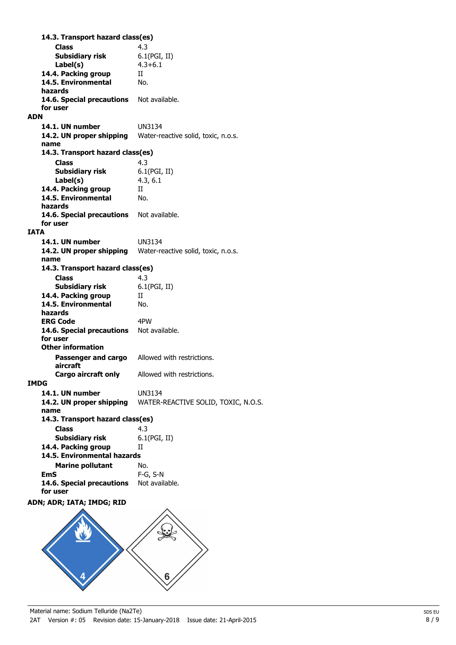**Class** 4.3 **14.3. Transport hazard class(es) Subsidiary risk** 6.1(PGI, II) **Label(s)** 4.3+6.1 **14.4. Packing group** II **14.5. Environmental** No. **hazards** 14.6. Special precautions Not available. **for user ADN 14.1. UN number** UN3134 **14.2. UN proper shipping** Water-reactive solid, toxic, n.o.s. **name Class** 4.3 **14.3. Transport hazard class(es) Subsidiary risk** 6.1(PGI, II) **Label(s)** 4.3, 6.1 **14.4. Packing group** II **14.5. Environmental** No. **hazards** 14.6. Special precautions Not available. **for user IATA 14.1. UN number** UN3134 **14.2. UN proper shipping** Water-reactive solid, toxic, n.o.s. **name Class** 4.3 **14.3. Transport hazard class(es) Subsidiary risk** 6.1(PGI, II) 14.4. Packing group II **14.5. Environmental** No. **hazards ERG Code** 4PW 14.6. Special precautions Not available. **for user Passenger and cargo** Allowed with restrictions. **aircraft Other information Cargo aircraft only** Allowed with restrictions. **IMDG 14.1. UN number** UN3134 **14.2. UN proper shipping** WATER-REACTIVE SOLID, TOXIC, N.O.S. **name Class** 4.3 **14.3. Transport hazard class(es) Subsidiary risk** 6.1(PGI, II) 14.4. Packing group II **Marine pollutant** No. **14.5. Environmental hazards EmS** F-G, S-N 14.6. Special precautions Not available. **for user ADN; ADR; IATA; IMDG; RID**